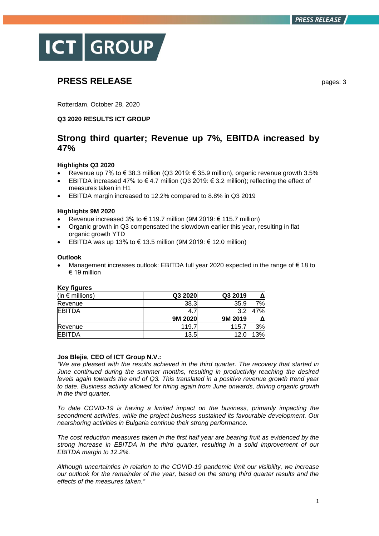

# **PRESS RELEASE** pages: 3

Rotterdam, October 28, 2020

## **Q3 2020 RESULTS ICT GROUP**

## **Strong third quarter; Revenue up 7%, EBITDA increased by 47%**

## **Highlights Q3 2020**

- Revenue up 7% to € 38.3 million (Q3 2019: € 35.9 million), organic revenue growth 3.5%
- EBITDA increased 47% to €4.7 million (Q3 2019: €3.2 million); reflecting the effect of measures taken in H1
- EBITDA margin increased to 12.2% compared to 8.8% in Q3 2019

## **Highlights 9M 2020**

- Revenue increased 3% to € 119.7 million (9M 2019: € 115.7 million)
- Organic growth in Q3 compensated the slowdown earlier this year, resulting in flat organic growth YTD
- EBITDA was up 13% to € 13.5 million (9M 2019: € 12.0 million)

## **Outlook**

 Management increases outlook: EBITDA full year 2020 expected in the range of € 18 to € 19 million

| (in $\epsilon$ millions) | Q3 2020 | Q3 2019 |     |
|--------------------------|---------|---------|-----|
| Revenue                  | 38.3    | 35.9    | 7%l |
| <b>EBITDA</b>            | 4.1     | 3.2     | 7%l |
|                          | 9M 2020 | 9M 2019 |     |
| Revenue                  | 119.7   | 115.7   | 3%  |
| <b>EBITDA</b>            | 13.5    | 12.0    | 13% |

## **Key figures**

## **Jos Blejie, CEO of ICT Group N.V.:**

*"We are pleased with the results achieved in the third quarter. The recovery that started in June continued during the summer months, resulting in productivity reaching the desired levels again towards the end of Q3. This translated in a positive revenue growth trend year to date. Business activity allowed for hiring again from June onwards, driving organic growth in the third quarter.*

*To date COVID-19 is having a limited impact on the business, primarily impacting the secondment activities, while the project business sustained its favourable development. Our nearshoring activities in Bulgaria continue their strong performance.* 

*The cost reduction measures taken in the first half year are bearing fruit as evidenced by the strong increase in EBITDA in the third quarter, resulting in a solid improvement of our EBITDA margin to 12.2%.* 

*Although uncertainties in relation to the COVID-19 pandemic limit our visibility, we increase our outlook for the remainder of the year, based on the strong third quarter results and the effects of the measures taken."*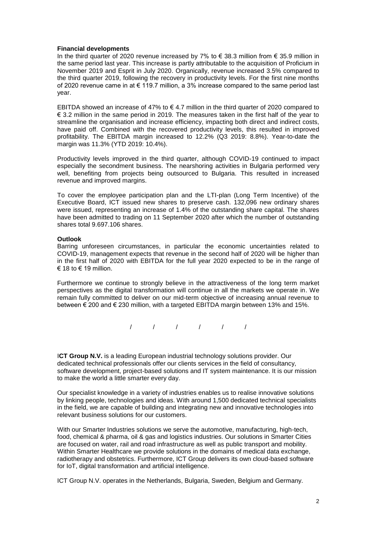### **Financial developments**

In the third quarter of 2020 revenue increased by 7% to € 38.3 million from € 35.9 million in the same period last year. This increase is partly attributable to the acquisition of Proficium in November 2019 and Esprit in July 2020. Organically, revenue increased 3.5% compared to the third quarter 2019, following the recovery in productivity levels. For the first nine months of 2020 revenue came in at € 119.7 million, a 3% increase compared to the same period last year.

EBITDA showed an increase of 47% to  $\in$  4.7 million in the third quarter of 2020 compared to € 3.2 million in the same period in 2019. The measures taken in the first half of the year to streamline the organisation and increase efficiency, impacting both direct and indirect costs, have paid off. Combined with the recovered productivity levels, this resulted in improved profitability. The EBITDA margin increased to 12.2% (Q3 2019: 8.8%). Year-to-date the margin was 11.3% (YTD 2019: 10.4%).

Productivity levels improved in the third quarter, although COVID-19 continued to impact especially the secondment business. The nearshoring activities in Bulgaria performed very well, benefiting from projects being outsourced to Bulgaria. This resulted in increased revenue and improved margins.

To cover the employee participation plan and the LTI-plan (Long Term Incentive) of the Executive Board, ICT issued new shares to preserve cash. 132,096 new ordinary shares were issued, representing an increase of 1.4% of the outstanding share capital. The shares have been admitted to trading on 11 September 2020 after which the number of outstanding shares total 9.697.106 shares.

#### **Outlook**

Barring unforeseen circumstances, in particular the economic uncertainties related to COVID-19, management expects that revenue in the second half of 2020 will be higher than in the first half of 2020 with EBITDA for the full year 2020 expected to be in the range of € 18 to  $∈$  19 million.

Furthermore we continue to strongly believe in the attractiveness of the long term market perspectives as the digital transformation will continue in all the markets we operate in. We remain fully committed to deliver on our mid-term objective of increasing annual revenue to between € 200 and € 230 million, with a targeted EBITDA margin between 13% and 15%.

/ / / / / /

**ICT Group N.V.** is a leading European industrial technology solutions provider. Our dedicated technical professionals offer our clients services in the field of consultancy, software development, project-based solutions and IT system maintenance. It is our mission to make the world a little smarter every day.

Our specialist knowledge in a variety of industries enables us to realise innovative solutions by linking people, technologies and ideas. With around 1,500 dedicated technical specialists in the field, we are capable of building and integrating new and innovative technologies into relevant business solutions for our customers.

With our Smarter Industries solutions we serve the automotive, manufacturing, high-tech, food, chemical & pharma, oil & gas and logistics industries. Our solutions in Smarter Cities are focused on water, rail and road infrastructure as well as public transport and mobility. Within Smarter Healthcare we provide solutions in the domains of medical data exchange, radiotherapy and obstetrics. Furthermore, ICT Group delivers its own cloud-based software for IoT, digital transformation and artificial intelligence.

ICT Group N.V. operates in the Netherlands, Bulgaria, Sweden, Belgium and Germany.